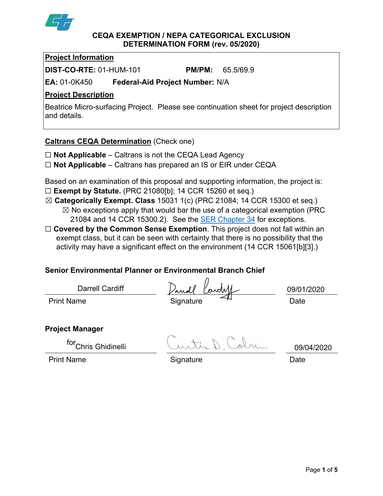

#### **CEQA EXEMPTION / NEPA CATEGORICAL EXCLUSION DETERMINATION FORM (rev. 05/2020)**

## **Project Information**

**DIST-CO-RTE:** 01-HUM-101 **PM/PM:** 65.5/69.9

**EA:** 01-0K450 **Federal-Aid Project Number:** N/A

# **Project Description**

Beatrice Micro-surfacing Project. Please see continuation sheet for project description and details.

## **Caltrans CEQA Determination** (Check one)

- ☐ **Not Applicable** Caltrans is not the CEQA Lead Agency
- ☐ **Not Applicable** Caltrans has prepared an IS or EIR under CEQA

Based on an examination of this proposal and supporting information, the project is: ☐ **Exempt by Statute.** (PRC 21080[b]; 14 CCR 15260 et seq.)

- ☒ **Categorically Exempt. Class** 15031 1(c) (PRC 21084; 14 CCR 15300 et seq.)
	- $\boxtimes$  No exceptions apply that would bar the use of a categorical exemption (PRC 21084 and 14 CCR 15300.2). See the [SER Chapter 34](https://dot.ca.gov/programs/environmental-analysis/standard-environmental-reference-ser/volume-1-guidance-for-compliance/ch-34-exemptions-to-ceqa#except) for exceptions.
- □ **Covered by the Common Sense Exemption**. This project does not fall within an exempt class, but it can be seen with certainty that there is no possibility that the activity may have a significant effect on the environment (14 CCR 15061[b][3].)

# **Senior Environmental Planner or Environmental Branch Chief**

Darrell Cardiff

Dandl Parde

Print Name Date Signature  $\leftarrow$  Date

09/01/2020

**Project Manager**

for<sub>Chris</sub> Ghidinelli

 $int_{\mathcal{A}}\mathbb{D}$  Colm 09/04/2020

Print Name **Signature Construction Construction** Date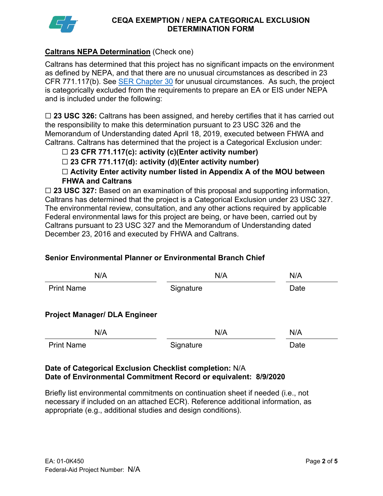

### **CEQA EXEMPTION / NEPA CATEGORICAL EXCLUSION DETERMINATION FORM**

## **Caltrans NEPA Determination** (Check one)

Caltrans has determined that this project has no significant impacts on the environment as defined by NEPA, and that there are no unusual circumstances as described in 23 CFR 771.117(b). See **SER Chapter 30** for unusual circumstances. As such, the project is categorically excluded from the requirements to prepare an EA or EIS under NEPA and is included under the following:

☐ **23 USC 326:** Caltrans has been assigned, and hereby certifies that it has carried out the responsibility to make this determination pursuant to 23 USC 326 and the Memorandum of Understanding dated April 18, 2019, executed between FHWA and Caltrans. Caltrans has determined that the project is a Categorical Exclusion under:

# ☐ **23 CFR 771.117(c): activity (c)(Enter activity number)**

☐ **23 CFR 771.117(d): activity (d)(Enter activity number)**

☐ **Activity Enter activity number listed in Appendix A of the MOU between FHWA and Caltrans**

☐ **23 USC 327:** Based on an examination of this proposal and supporting information, Caltrans has determined that the project is a Categorical Exclusion under 23 USC 327. The environmental review, consultation, and any other actions required by applicable Federal environmental laws for this project are being, or have been, carried out by Caltrans pursuant to 23 USC 327 and the Memorandum of Understanding dated December 23, 2016 and executed by FHWA and Caltrans.

### **Senior Environmental Planner or Environmental Branch Chief**

| N/A                                  | N/A       | N/A  |
|--------------------------------------|-----------|------|
| <b>Print Name</b>                    | Signature | Date |
| <b>Project Manager/ DLA Engineer</b> |           |      |
| N/A                                  | N/A       | N/A  |
| <b>Print Name</b>                    | Signature | Date |

### **Date of Categorical Exclusion Checklist completion:** N/A **Date of Environmental Commitment Record or equivalent: 8/9/2020**

Briefly list environmental commitments on continuation sheet if needed (i.e., not necessary if included on an attached ECR). Reference additional information, as appropriate (e.g., additional studies and design conditions).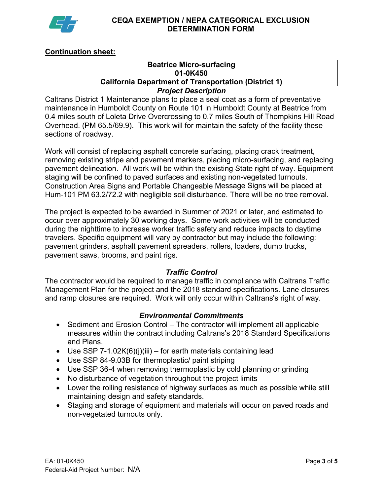

# **Continuation sheet:**

#### **Beatrice Micro-surfacing 01-0K450 California Department of Transportation (District 1)** *Project Description*

Caltrans District 1 Maintenance plans to place a seal coat as a form of preventative maintenance in Humboldt County on Route 101 in Humboldt County at Beatrice from 0.4 miles south of Loleta Drive Overcrossing to 0.7 miles South of Thompkins Hill Road Overhead. (PM 65.5/69.9). This work will for maintain the safety of the facility these sections of roadway.

Work will consist of replacing asphalt concrete surfacing, placing crack treatment, removing existing stripe and pavement markers, placing micro-surfacing, and replacing pavement delineation. All work will be within the existing State right of way. Equipment staging will be confined to paved surfaces and existing non-vegetated turnouts. Construction Area Signs and Portable Changeable Message Signs will be placed at Hum-101 PM 63.2/72.2 with negligible soil disturbance. There will be no tree removal.

The project is expected to be awarded in Summer of 2021 or later, and estimated to occur over approximately 30 working days. Some work activities will be conducted during the nighttime to increase worker traffic safety and reduce impacts to daytime travelers. Specific equipment will vary by contractor but may include the following: pavement grinders, asphalt pavement spreaders, rollers, loaders, dump trucks, pavement saws, brooms, and paint rigs.

### *Traffic Control*

The contractor would be required to manage traffic in compliance with Caltrans Traffic Management Plan for the project and the 2018 standard specifications. Lane closures and ramp closures are required. Work will only occur within Caltrans's right of way.

### *Environmental Commitments*

- Sediment and Erosion Control The contractor will implement all applicable measures within the contract including Caltrans's 2018 Standard Specifications and Plans.
- Use SSP 7-1.02K(6)(j)(iii) for earth materials containing lead
- Use SSP 84-9.03B for thermoplastic/ paint striping
- Use SSP 36-4 when removing thermoplastic by cold planning or grinding
- No disturbance of vegetation throughout the project limits
- Lower the rolling resistance of highway surfaces as much as possible while still maintaining design and safety standards.
- Staging and storage of equipment and materials will occur on paved roads and non-vegetated turnouts only.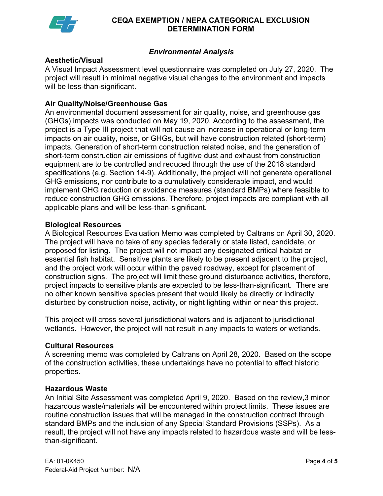

### **CEQA EXEMPTION / NEPA CATEGORICAL EXCLUSION DETERMINATION FORM**

## *Environmental Analysis*

### **Aesthetic/Visual**

A Visual Impact Assessment level questionnaire was completed on July 27, 2020. The project will result in minimal negative visual changes to the environment and impacts will be less-than-significant.

## **Air Quality/Noise/Greenhouse Gas**

An environmental document assessment for air quality, noise, and greenhouse gas (GHGs) impacts was conducted on May 19, 2020. According to the assessment, the project is a Type III project that will not cause an increase in operational or long-term impacts on air quality, noise, or GHGs, but will have construction related (short-term) impacts. Generation of short-term construction related noise, and the generation of short-term construction air emissions of fugitive dust and exhaust from construction equipment are to be controlled and reduced through the use of the 2018 standard specifications (e.g. Section 14-9). Additionally, the project will not generate operational GHG emissions, nor contribute to a cumulatively considerable impact, and would implement GHG reduction or avoidance measures (standard BMPs) where feasible to reduce construction GHG emissions. Therefore, project impacts are compliant with all applicable plans and will be less-than-significant.

#### **Biological Resources**

A Biological Resources Evaluation Memo was completed by Caltrans on April 30, 2020. The project will have no take of any species federally or state listed, candidate, or proposed for listing. The project will not impact any designated critical habitat or essential fish habitat. Sensitive plants are likely to be present adjacent to the project, and the project work will occur within the paved roadway, except for placement of construction signs. The project will limit these ground disturbance activities, therefore, project impacts to sensitive plants are expected to be less-than-significant. There are no other known sensitive species present that would likely be directly or indirectly disturbed by construction noise, activity, or night lighting within or near this project.

This project will cross several jurisdictional waters and is adjacent to jurisdictional wetlands. However, the project will not result in any impacts to waters or wetlands.

#### **Cultural Resources**

A screening memo was completed by Caltrans on April 28, 2020. Based on the scope of the construction activities, these undertakings have no potential to affect historic properties.

#### **Hazardous Waste**

An Initial Site Assessment was completed April 9, 2020. Based on the review,3 minor hazardous waste/materials will be encountered within project limits. These issues are routine construction issues that will be managed in the construction contract through standard BMPs and the inclusion of any Special Standard Provisions (SSPs). As a result, the project will not have any impacts related to hazardous waste and will be lessthan-significant.